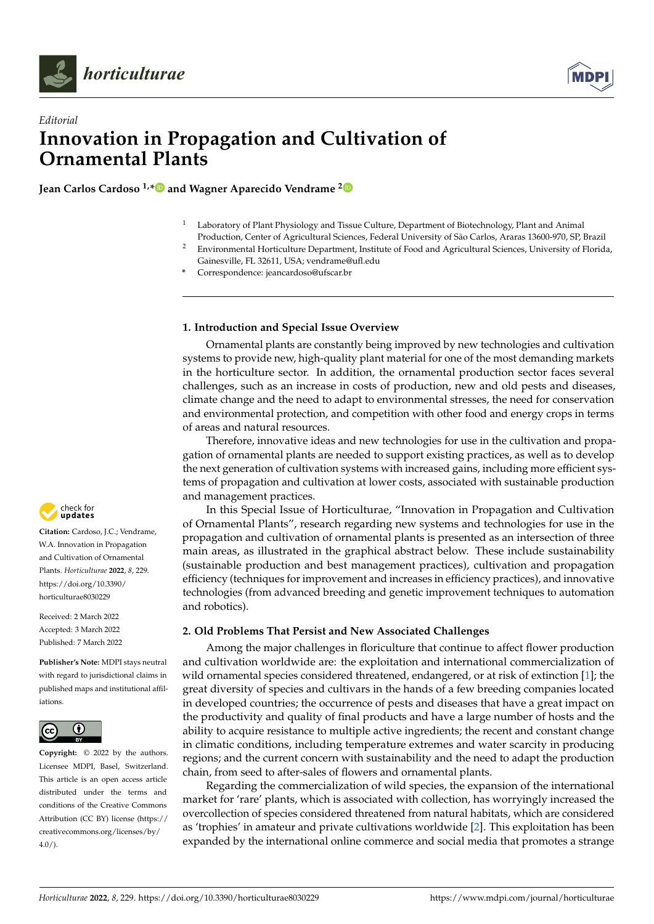



# *Editorial* **Innovation in Propagation and Cultivation of Ornamental Plants**

**Jean Carlos Cardoso 1,[\\*](https://orcid.org/0000-0001-6578-1723) and Wagner Aparecido Vendrame [2](https://orcid.org/0000-0001-6391-7623)**

- $1$  Laboratory of Plant Physiology and Tissue Culture, Department of Biotechnology, Plant and Animal Production, Center of Agricultural Sciences, Federal University of São Carlos, Araras 13600-970, SP, Brazil
- <sup>2</sup> Environmental Horticulture Department, Institute of Food and Agricultural Sciences, University of Florida, Gainesville, FL 32611, USA; vendrame@ufl.edu
- **\*** Correspondence: jeancardoso@ufscar.br

## **1. Introduction and Special Issue Overview**

Ornamental plants are constantly being improved by new technologies and cultivation systems to provide new, high-quality plant material for one of the most demanding markets in the horticulture sector. In addition, the ornamental production sector faces several challenges, such as an increase in costs of production, new and old pests and diseases, climate change and the need to adapt to environmental stresses, the need for conservation and environmental protection, and competition with other food and energy crops in terms of areas and natural resources.

Therefore, innovative ideas and new technologies for use in the cultivation and propagation of ornamental plants are needed to support existing practices, as well as to develop the next generation of cultivation systems with increased gains, including more efficient systems of propagation and cultivation at lower costs, associated with sustainable production and management practices.

In this Special Issue of Horticulturae, "Innovation in Propagation and Cultivation of Ornamental Plants", research regarding new systems and technologies for use in the propagation and cultivation of ornamental plants is presented as an intersection of three main areas, as illustrated in the graphical abstract below. These include sustainability (sustainable production and best management practices), cultivation and propagation efficiency (techniques for improvement and increases in efficiency practices), and innovative technologies (from advanced breeding and genetic improvement techniques to automation and robotics).

# **2. Old Problems That Persist and New Associated Challenges**

Among the major challenges in floriculture that continue to affect flower production and cultivation worldwide are: the exploitation and international commercialization of wild ornamental species considered threatened, endangered, or at risk of extinction [\[1\]](#page-3-0); the great diversity of species and cultivars in the hands of a few breeding companies located in developed countries; the occurrence of pests and diseases that have a great impact on the productivity and quality of final products and have a large number of hosts and the ability to acquire resistance to multiple active ingredients; the recent and constant change in climatic conditions, including temperature extremes and water scarcity in producing regions; and the current concern with sustainability and the need to adapt the production chain, from seed to after-sales of flowers and ornamental plants.

Regarding the commercialization of wild species, the expansion of the international market for 'rare' plants, which is associated with collection, has worryingly increased the overcollection of species considered threatened from natural habitats, which are considered as 'trophies' in amateur and private cultivations worldwide [\[2\]](#page-3-1). This exploitation has been expanded by the international online commerce and social media that promotes a strange



**Citation:** Cardoso, J.C.; Vendrame, W.A. Innovation in Propagation and Cultivation of Ornamental Plants. *Horticulturae* **2022**, *8*, 229. [https://doi.org/10.3390/](https://doi.org/10.3390/horticulturae8030229) [horticulturae8030229](https://doi.org/10.3390/horticulturae8030229)

Received: 2 March 2022 Accepted: 3 March 2022 Published: 7 March 2022

**Publisher's Note:** MDPI stays neutral with regard to jurisdictional claims in published maps and institutional affiliations.



**Copyright:** © 2022 by the authors. Licensee MDPI, Basel, Switzerland. This article is an open access article distributed under the terms and conditions of the Creative Commons Attribution (CC BY) license [\(https://](https://creativecommons.org/licenses/by/4.0/) [creativecommons.org/licenses/by/](https://creativecommons.org/licenses/by/4.0/)  $4.0/$ ).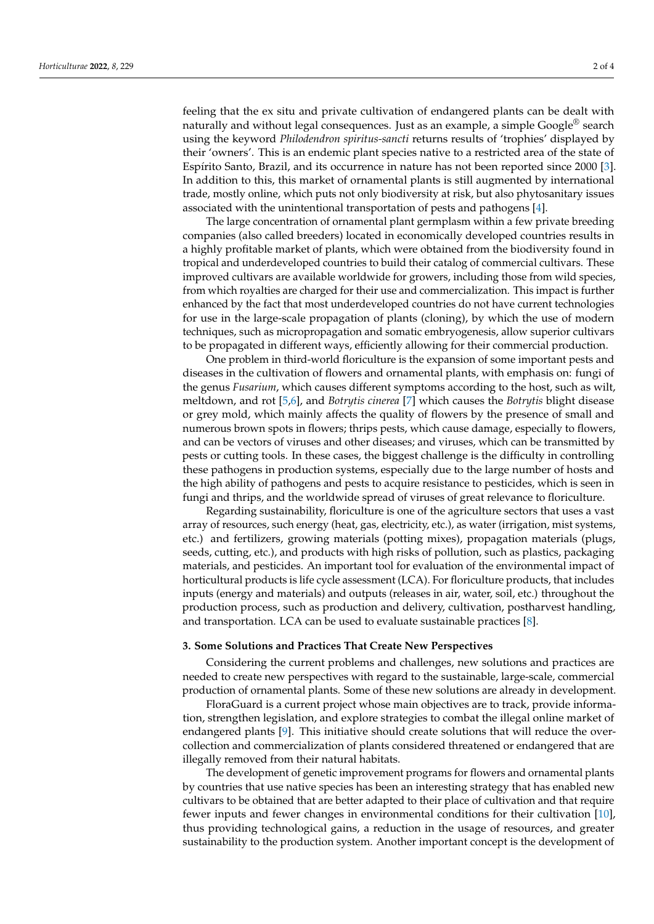feeling that the ex situ and private cultivation of endangered plants can be dealt with naturally and without legal consequences. Just as an example, a simple Google<sup>®</sup> search using the keyword *Philodendron spiritus-sancti* returns results of 'trophies' displayed by their 'owners'. This is an endemic plant species native to a restricted area of the state of Espírito Santo, Brazil, and its occurrence in nature has not been reported since 2000 [\[3\]](#page-3-2). In addition to this, this market of ornamental plants is still augmented by international trade, mostly online, which puts not only biodiversity at risk, but also phytosanitary issues associated with the unintentional transportation of pests and pathogens [\[4\]](#page-3-3).

The large concentration of ornamental plant germplasm within a few private breeding companies (also called breeders) located in economically developed countries results in a highly profitable market of plants, which were obtained from the biodiversity found in tropical and underdeveloped countries to build their catalog of commercial cultivars. These improved cultivars are available worldwide for growers, including those from wild species, from which royalties are charged for their use and commercialization. This impact is further enhanced by the fact that most underdeveloped countries do not have current technologies for use in the large-scale propagation of plants (cloning), by which the use of modern techniques, such as micropropagation and somatic embryogenesis, allow superior cultivars to be propagated in different ways, efficiently allowing for their commercial production.

One problem in third-world floriculture is the expansion of some important pests and diseases in the cultivation of flowers and ornamental plants, with emphasis on: fungi of the genus *Fusarium*, which causes different symptoms according to the host, such as wilt, meltdown, and rot [\[5](#page-3-4)[,6\]](#page-3-5), and *Botrytis cinerea* [\[7\]](#page-3-6) which causes the *Botrytis* blight disease or grey mold, which mainly affects the quality of flowers by the presence of small and numerous brown spots in flowers; thrips pests, which cause damage, especially to flowers, and can be vectors of viruses and other diseases; and viruses, which can be transmitted by pests or cutting tools. In these cases, the biggest challenge is the difficulty in controlling these pathogens in production systems, especially due to the large number of hosts and the high ability of pathogens and pests to acquire resistance to pesticides, which is seen in fungi and thrips, and the worldwide spread of viruses of great relevance to floriculture.

Regarding sustainability, floriculture is one of the agriculture sectors that uses a vast array of resources, such energy (heat, gas, electricity, etc.), as water (irrigation, mist systems, etc.) and fertilizers, growing materials (potting mixes), propagation materials (plugs, seeds, cutting, etc.), and products with high risks of pollution, such as plastics, packaging materials, and pesticides. An important tool for evaluation of the environmental impact of horticultural products is life cycle assessment (LCA). For floriculture products, that includes inputs (energy and materials) and outputs (releases in air, water, soil, etc.) throughout the production process, such as production and delivery, cultivation, postharvest handling, and transportation. LCA can be used to evaluate sustainable practices [\[8\]](#page-3-7).

#### **3. Some Solutions and Practices That Create New Perspectives**

Considering the current problems and challenges, new solutions and practices are needed to create new perspectives with regard to the sustainable, large-scale, commercial production of ornamental plants. Some of these new solutions are already in development.

FloraGuard is a current project whose main objectives are to track, provide information, strengthen legislation, and explore strategies to combat the illegal online market of endangered plants [\[9\]](#page-3-8). This initiative should create solutions that will reduce the overcollection and commercialization of plants considered threatened or endangered that are illegally removed from their natural habitats.

The development of genetic improvement programs for flowers and ornamental plants by countries that use native species has been an interesting strategy that has enabled new cultivars to be obtained that are better adapted to their place of cultivation and that require fewer inputs and fewer changes in environmental conditions for their cultivation [\[10\]](#page-3-9), thus providing technological gains, a reduction in the usage of resources, and greater sustainability to the production system. Another important concept is the development of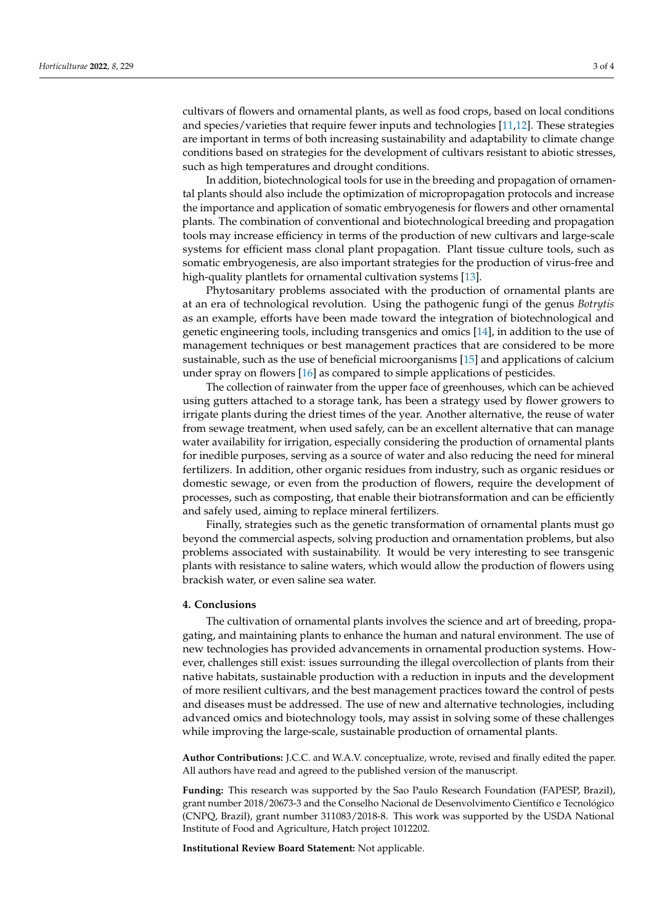cultivars of flowers and ornamental plants, as well as food crops, based on local conditions and species/varieties that require fewer inputs and technologies [\[11](#page-3-10)[,12\]](#page-3-11). These strategies are important in terms of both increasing sustainability and adaptability to climate change conditions based on strategies for the development of cultivars resistant to abiotic stresses, such as high temperatures and drought conditions.

In addition, biotechnological tools for use in the breeding and propagation of ornamental plants should also include the optimization of micropropagation protocols and increase the importance and application of somatic embryogenesis for flowers and other ornamental plants. The combination of conventional and biotechnological breeding and propagation tools may increase efficiency in terms of the production of new cultivars and large-scale systems for efficient mass clonal plant propagation. Plant tissue culture tools, such as somatic embryogenesis, are also important strategies for the production of virus-free and high-quality plantlets for ornamental cultivation systems [\[13\]](#page-3-12).

Phytosanitary problems associated with the production of ornamental plants are at an era of technological revolution. Using the pathogenic fungi of the genus *Botrytis* as an example, efforts have been made toward the integration of biotechnological and genetic engineering tools, including transgenics and omics [\[14\]](#page-3-13), in addition to the use of management techniques or best management practices that are considered to be more sustainable, such as the use of beneficial microorganisms [\[15\]](#page-3-14) and applications of calcium under spray on flowers [\[16\]](#page-3-15) as compared to simple applications of pesticides.

The collection of rainwater from the upper face of greenhouses, which can be achieved using gutters attached to a storage tank, has been a strategy used by flower growers to irrigate plants during the driest times of the year. Another alternative, the reuse of water from sewage treatment, when used safely, can be an excellent alternative that can manage water availability for irrigation, especially considering the production of ornamental plants for inedible purposes, serving as a source of water and also reducing the need for mineral fertilizers. In addition, other organic residues from industry, such as organic residues or domestic sewage, or even from the production of flowers, require the development of processes, such as composting, that enable their biotransformation and can be efficiently and safely used, aiming to replace mineral fertilizers.

Finally, strategies such as the genetic transformation of ornamental plants must go beyond the commercial aspects, solving production and ornamentation problems, but also problems associated with sustainability. It would be very interesting to see transgenic plants with resistance to saline waters, which would allow the production of flowers using brackish water, or even saline sea water.

#### **4. Conclusions**

The cultivation of ornamental plants involves the science and art of breeding, propagating, and maintaining plants to enhance the human and natural environment. The use of new technologies has provided advancements in ornamental production systems. However, challenges still exist: issues surrounding the illegal overcollection of plants from their native habitats, sustainable production with a reduction in inputs and the development of more resilient cultivars, and the best management practices toward the control of pests and diseases must be addressed. The use of new and alternative technologies, including advanced omics and biotechnology tools, may assist in solving some of these challenges while improving the large-scale, sustainable production of ornamental plants.

**Author Contributions:** J.C.C. and W.A.V. conceptualize, wrote, revised and finally edited the paper. All authors have read and agreed to the published version of the manuscript.

**Funding:** This research was supported by the Sao Paulo Research Foundation (FAPESP, Brazil), grant number 2018/20673-3 and the Conselho Nacional de Desenvolvimento Científico e Tecnológico (CNPQ, Brazil), grant number 311083/2018-8. This work was supported by the USDA National Institute of Food and Agriculture, Hatch project 1012202.

**Institutional Review Board Statement:** Not applicable.